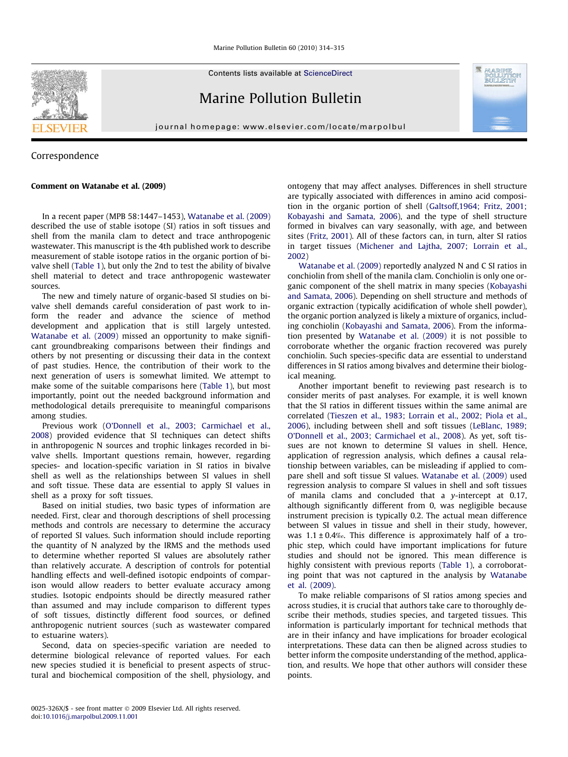Contents lists available at [ScienceDirect](http://www.sciencedirect.com/science/journal/0025326X)

# Marine Pollution Bulletin

journal homepage: [www.elsevier.com/locate/marpolbul](http://www.elsevier.com/locate/marpolbul)



## Correspondence

### Comment on Watanabe et al. (2009)

In a recent paper (MPB 58:1447–1453), [Watanabe et al. \(2009\)](#page-1-0) described the use of stable isotope (SI) ratios in soft tissues and shell from the manila clam to detect and trace anthropogenic wastewater. This manuscript is the 4th published work to describe measurement of stable isotope ratios in the organic portion of bivalve shell [\(Table 1\)](#page-1-0), but only the 2nd to test the ability of bivalve shell material to detect and trace anthropogenic wastewater sources.

The new and timely nature of organic-based SI studies on bivalve shell demands careful consideration of past work to inform the reader and advance the science of method development and application that is still largely untested. [Watanabe et al. \(2009\)](#page-1-0) missed an opportunity to make significant groundbreaking comparisons between their findings and others by not presenting or discussing their data in the context of past studies. Hence, the contribution of their work to the next generation of users is somewhat limited. We attempt to make some of the suitable comparisons here ([Table 1\)](#page-1-0), but most importantly, point out the needed background information and methodological details prerequisite to meaningful comparisons among studies.

Previous work ([O'Donnell et al., 2003; Carmichael et al.,](#page-1-0) [2008\)](#page-1-0) provided evidence that SI techniques can detect shifts in anthropogenic N sources and trophic linkages recorded in bivalve shells. Important questions remain, however, regarding species- and location-specific variation in SI ratios in bivalve shell as well as the relationships between SI values in shell and soft tissue. These data are essential to apply SI values in shell as a proxy for soft tissues.

Based on initial studies, two basic types of information are needed. First, clear and thorough descriptions of shell processing methods and controls are necessary to determine the accuracy of reported SI values. Such information should include reporting the quantity of N analyzed by the IRMS and the methods used to determine whether reported SI values are absolutely rather than relatively accurate. A description of controls for potential handling effects and well-defined isotopic endpoints of comparison would allow readers to better evaluate accuracy among studies. Isotopic endpoints should be directly measured rather than assumed and may include comparison to different types of soft tissues, distinctly different food sources, or defined anthropogenic nutrient sources (such as wastewater compared to estuarine waters).

Second, data on species-specific variation are needed to determine biological relevance of reported values. For each new species studied it is beneficial to present aspects of structural and biochemical composition of the shell, physiology, and ontogeny that may affect analyses. Differences in shell structure are typically associated with differences in amino acid composition in the organic portion of shell [\(Galtsoff,1964; Fritz, 2001;](#page-1-0) [Kobayashi and Samata, 2006](#page-1-0)), and the type of shell structure formed in bivalves can vary seasonally, with age, and between sites [\(Fritz, 2001](#page-1-0)). All of these factors can, in turn, alter SI ratios in target tissues [\(Michener and Lajtha, 2007; Lorrain et al.,](#page-1-0) [2002\)](#page-1-0)

[Watanabe et al. \(2009\)](#page-1-0) reportedly analyzed N and C SI ratios in conchiolin from shell of the manila clam. Conchiolin is only one organic component of the shell matrix in many species [\(Kobayashi](#page-1-0) [and Samata, 2006](#page-1-0)). Depending on shell structure and methods of organic extraction (typically acidification of whole shell powder), the organic portion analyzed is likely a mixture of organics, including conchiolin [\(Kobayashi and Samata, 2006](#page-1-0)). From the information presented by [Watanabe et al. \(2009\)](#page-1-0) it is not possible to corroborate whether the organic fraction recovered was purely conchiolin. Such species-specific data are essential to understand differences in SI ratios among bivalves and determine their biological meaning.

Another important benefit to reviewing past research is to consider merits of past analyses. For example, it is well known that the SI ratios in different tissues within the same animal are correlated ([Tieszen et al., 1983; Lorrain et al., 2002; Piola et al.,](#page-1-0) [2006\)](#page-1-0), including between shell and soft tissues [\(LeBlanc, 1989;](#page-1-0) [O'Donnell et al., 2003; Carmichael et al., 2008\)](#page-1-0). As yet, soft tissues are not known to determine SI values in shell. Hence, application of regression analysis, which defines a causal relationship between variables, can be misleading if applied to compare shell and soft tissue SI values. [Watanabe et al. \(2009\)](#page-1-0) used regression analysis to compare SI values in shell and soft tissues of manila clams and concluded that a  $v$ -intercept at 0.17, although significantly different from 0, was negligible because instrument precision is typically 0.2. The actual mean difference between SI values in tissue and shell in their study, however, was  $1.1 \pm 0.4\%$ . This difference is approximately half of a trophic step, which could have important implications for future studies and should not be ignored. This mean difference is highly consistent with previous reports ([Table 1\)](#page-1-0), a corroborating point that was not captured in the analysis by [Watanabe](#page-1-0) [et al. \(2009\)](#page-1-0).

To make reliable comparisons of SI ratios among species and across studies, it is crucial that authors take care to thoroughly describe their methods, studies species, and targeted tissues. This information is particularly important for technical methods that are in their infancy and have implications for broader ecological interpretations. These data can then be aligned across studies to better inform the composite understanding of the method, application, and results. We hope that other authors will consider these points.